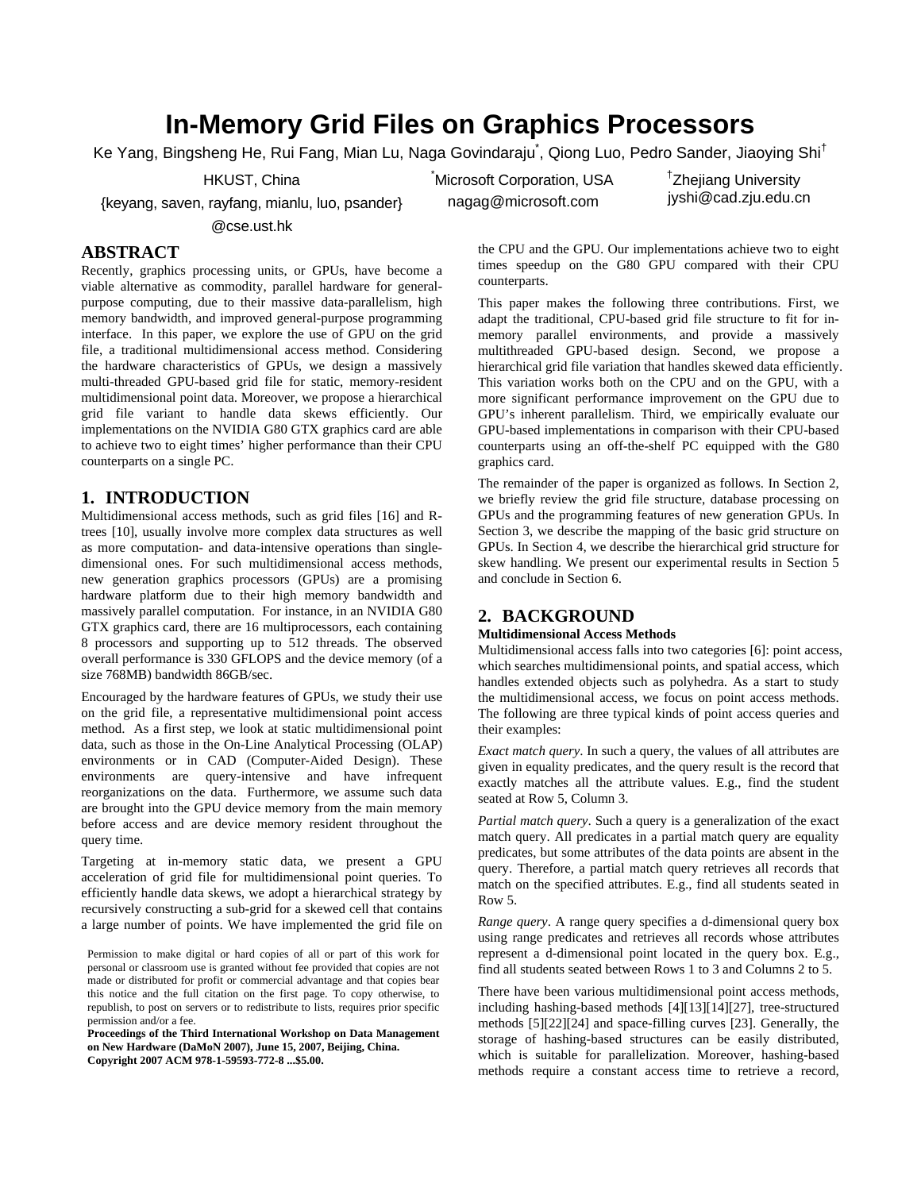# **In-Memory Grid Files on Graphics Processors**

Ke Yang, Bingsheng He, Rui Fang, Mian Lu, Naga Govindaraju<sup>\*</sup>, Qiong Luo, Pedro Sander, Jiaoying Shi<sup>†</sup>

HKUST, China

\* Microsoft Corporation, USA

{keyang, saven, rayfang, mianlu, luo, psander}

[nagag@microsoft.com](mailto:nagag@microsoft.com) 

† Zhejiang University jyshi@cad.zju.edu.cn

@cse.ust.hk

### **ABSTRACT**

Recently, graphics processing units, or GPUs, have become a viable alternative as commodity, parallel hardware for generalpurpose computing, due to their massive data-parallelism, high memory bandwidth, and improved general-purpose programming interface. In this paper, we explore the use of GPU on the grid file, a traditional multidimensional access method. Considering the hardware characteristics of GPUs, we design a massively multi-threaded GPU-based grid file for static, memory-resident multidimensional point data. Moreover, we propose a hierarchical grid file variant to handle data skews efficiently. Our implementations on the NVIDIA G80 GTX graphics card are able to achieve two to eight times' higher performance than their CPU counterparts on a single PC.

# **1. INTRODUCTION**

Multidimensional access methods, such as grid files [16] and Rtrees [10], usually involve more complex data structures as well as more computation- and data-intensive operations than singledimensional ones. For such multidimensional access methods, new generation graphics processors (GPUs) are a promising hardware platform due to their high memory bandwidth and massively parallel computation. For instance, in an NVIDIA G80 GTX graphics card, there are 16 multiprocessors, each containing 8 processors and supporting up to 512 threads. The observed overall performance is 330 GFLOPS and the device memory (of a size 768MB) bandwidth 86GB/sec.

Encouraged by the hardware features of GPUs, we study their use on the grid file, a representative multidimensional point access method. As a first step, we look at static multidimensional point data, such as those in the On-Line Analytical Processing (OLAP) environments or in CAD (Computer-Aided Design). These environments are query-intensive and have infrequent reorganizations on the data. Furthermore, we assume such data are brought into the GPU device memory from the main memory before access and are device memory resident throughout the query time.

Targeting at in-memory static data, we present a GPU acceleration of grid file for multidimensional point queries. To efficiently handle data skews, we adopt a hierarchical strategy by recursively constructing a sub-grid for a skewed cell that contains a large number of points. We have implemented the grid file on

**Proceedings of the Third International Workshop on Data Management on New Hardware (DaMoN 2007), June 15, 2007, Beijing, China. Copyright 2007 ACM 978-1-59593-772-8 ...\$5.00.** 

the CPU and the GPU. Our implementations achieve two to eight times speedup on the G80 GPU compared with their CPU counterparts.

This paper makes the following three contributions. First, we adapt the traditional, CPU-based grid file structure to fit for inmemory parallel environments, and provide a massively multithreaded GPU-based design. Second, we propose a hierarchical grid file variation that handles skewed data efficiently. This variation works both on the CPU and on the GPU, with a more significant performance improvement on the GPU due to GPU's inherent parallelism. Third, we empirically evaluate our GPU-based implementations in comparison with their CPU-based counterparts using an off-the-shelf PC equipped with the G80 graphics card.

The remainder of the paper is organized as follows. In Section 2, we briefly review the grid file structure, database processing on GPUs and the programming features of new generation GPUs. In Section 3, we describe the mapping of the basic grid structure on GPUs. In Section 4, we describe the hierarchical grid structure for skew handling. We present our experimental results in Section 5 and conclude in Section 6.

# **2. BACKGROUND**

### **Multidimensional Access Methods**

Multidimensional access falls into two categories [\[6\]](#page-5-0): point access, which searches multidimensional points, and spatial access, which handles extended objects such as polyhedra. As a start to study the multidimensional access, we focus on point access methods. The following are three typical kinds of point access queries and their examples:

*Exact match query*. In such a query, the values of all attributes are given in equality predicates, and the query result is the record that exactly matches all the attribute values. E.g., find the student seated at Row 5, Column 3.

*Partial match query*. Such a query is a generalization of the exact match query. All predicates in a partial match query are equality predicates, but some attributes of the data points are absent in the query. Therefore, a partial match query retrieves all records that match on the specified attributes. E.g., find all students seated in Row 5.

*Range query*. A range query specifies a d-dimensional query box using range predicates and retrieves all records whose attributes represent a d-dimensional point located in the query box. E.g., find all students seated between Rows 1 to 3 and Columns 2 to 5.

There have been various multidimensional point access methods, including hashing-based methods [\[4\]](#page-5-1)[\[13\]](#page-6-0)[\[14\]](#page-6-1)[\[27\],](#page-6-2) tree-structured methods [\[5\]](#page-5-2)[\[22\]](#page-6-3)[\[24\]](#page-6-4) and space-filling curves [\[23\].](#page-6-5) Generally, the storage of hashing-based structures can be easily distributed, which is suitable for parallelization. Moreover, hashing-based methods require a constant access time to retrieve a record,

Permission to make digital or hard copies of all or part of this work for personal or classroom use is granted without fee provided that copies are not made or distributed for profit or commercial advantage and that copies bear this notice and the full citation on the first page. To copy otherwise, to republish, to post on servers or to redistribute to lists, requires prior specific permission and/or a fee.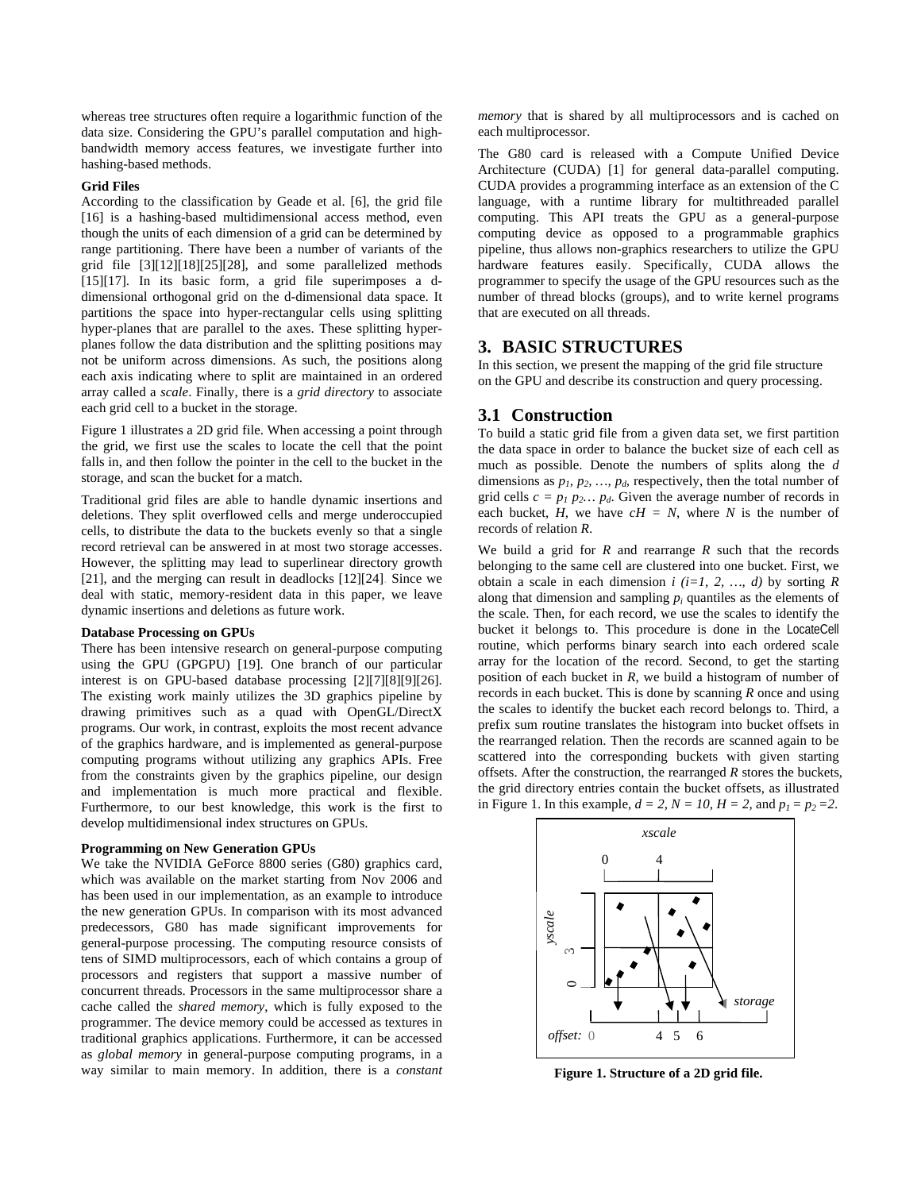whereas tree structures often require a logarithmic function of the data size. Considering the GPU's parallel computation and highbandwidth memory access features, we investigate further into hashing-based methods.

#### **Grid Files**

According to the classification by Geade et al. [\[6\],](#page-5-0) the grid file [\[16\]](#page-6-6) is a hashing-based multidimensional access method, even though the units of each dimension of a grid can be determined by range partitioning. There have been a number of variants of the grid file [\[3\]](#page-5-3)[\[12\]](#page-6-7)[\[18\]](#page-6-8)[\[25\]](#page-6-9)[\[28\],](#page-6-10) and some parallelized methods [\[15\]](#page-6-11)[\[17\].](#page-6-12) In its basic form, a grid file superimposes a ddimensional orthogonal grid on the d-dimensional data space. It partitions the space into hyper-rectangular cells using splitting hyper-planes that are parallel to the axes. These splitting hyperplanes follow the data distribution and the splitting positions may not be uniform across dimensions. As such, the positions along each axis indicating where to split are maintained in an ordered array called a *scale*. Finally, there is a *grid directory* to associate each grid cell to a bucket in the storage.

Figure 1 illustrates a 2D grid file. When accessing a point through the grid, we first use the scales to locate the cell that the point falls in, and then follow the pointer in the cell to the bucket in the storage, and scan the bucket for a match.

Traditional grid files are able to handle dynamic insertions and deletions. They split overflowed cells and merge underoccupied cells, to distribute the data to the buckets evenly so that a single record retrieval can be answered in at most two storage accesses. However, the splitting may lead to superlinear directory growth [\[21\],](#page-6-13) and the merging can result in deadlocks [\[12\]](#page-6-7)[\[24\]](#page-6-4). Since we deal with static, memory-resident data in this paper, we leave dynamic insertions and deletions as future work.

#### **Database Processing on GPUs**

There has been intensive research on general-purpose computing using the GPU (GPGPU) [\[19\].](#page-6-14) One branch of our particular interest is on GPU-based database processing [\[2\]](#page-5-4)[\[7\]](#page-6-15)[\[8\]](#page-6-16)[\[9\]](#page-6-17)[\[26\].](#page-6-18) The existing work mainly utilizes the 3D graphics pipeline by drawing primitives such as a quad with OpenGL/DirectX programs. Our work, in contrast, exploits the most recent advance of the graphics hardware, and is implemented as general-purpose computing programs without utilizing any graphics APIs. Free from the constraints given by the graphics pipeline, our design and implementation is much more practical and flexible. Furthermore, to our best knowledge, this work is the first to develop multidimensional index structures on GPUs.

#### **Programming on New Generation GPUs**

<span id="page-1-0"></span>We take the NVIDIA GeForce 8800 series (G80) graphics card, which was available on the market starting from Nov 2006 and has been used in our implementation, as an example to introduce the new generation GPUs. In comparison with its most advanced predecessors, G80 has made significant improvements for general-purpose processing. The computing resource consists of tens of SIMD multiprocessors, each of which contains a group of processors and registers that support a massive number of concurrent threads. Processors in the same multiprocessor share a cache called the *shared memory*, which is fully exposed to the programmer. The device memory could be accessed as textures in traditional graphics applications. Furthermore, it can be accessed as *global memory* in general-purpose computing programs, in a way similar to main memory. In addition, there is a *constant*  *memory* that is shared by all multiprocessors and is cached on each multiprocessor.

The G80 card is released with a Compute Unified Device Architecture (CUDA) [\[1\]](#page-5-5) for general data-parallel computing. CUDA provides a programming interface as an extension of the C language, with a runtime library for multithreaded parallel computing. This API treats the GPU as a general-purpose computing device as opposed to a programmable graphics pipeline, thus allows non-graphics researchers to utilize the GPU hardware features easily. Specifically, CUDA allows the programmer to specify the usage of the GPU resources such as the number of thread blocks (groups), and to write kernel programs that are executed on all threads.

### **3. BASIC STRUCTURES**

In this section, we present the mapping of the grid file structure on the GPU and describe its construction and query processing.

#### **3.1 Construction**

To build a static grid file from a given data set, we first partition the data space in order to balance the bucket size of each cell as much as possible. Denote the numbers of splits along the *d* dimensions as  $p_1$ ,  $p_2$ , ...,  $p_d$ , respectively, then the total number of grid cells  $c = p_1 p_2 ... p_d$ . Given the average number of records in each bucket, *H*, we have  $cH = N$ , where *N* is the number of records of relation *R*.

We build a grid for *R* and rearrange *R* such that the records belonging to the same cell are clustered into one bucket. First, we obtain a scale in each dimension  $i$  ( $i=1, 2, ..., d$ ) by sorting  $R$ along that dimension and sampling  $p_i$  quantiles as the elements of the scale. Then, for each record, we use the scales to identify the bucket it belongs to. This procedure is done in the LocateCell routine, which performs binary search into each ordered scale array for the location of the record. Second, to get the starting position of each bucket in *R*, we build a histogram of number of records in each bucket. This is done by scanning *R* once and using the scales to identify the bucket each record belongs to. Third, a prefix sum routine translates the histogram into bucket offsets in the rearranged relation. Then the records are scanned again to be scattered into the corresponding buckets with given starting offsets. After the construction, the rearranged *R* stores the buckets, the grid directory entries contain the bucket offsets, as illustrated in [Figure 1.](#page-1-0) In this example,  $d = 2$ ,  $N = 10$ ,  $H = 2$ , and  $p_1 = p_2 = 2$ .



**Figure 1. Structure of a 2D grid file.**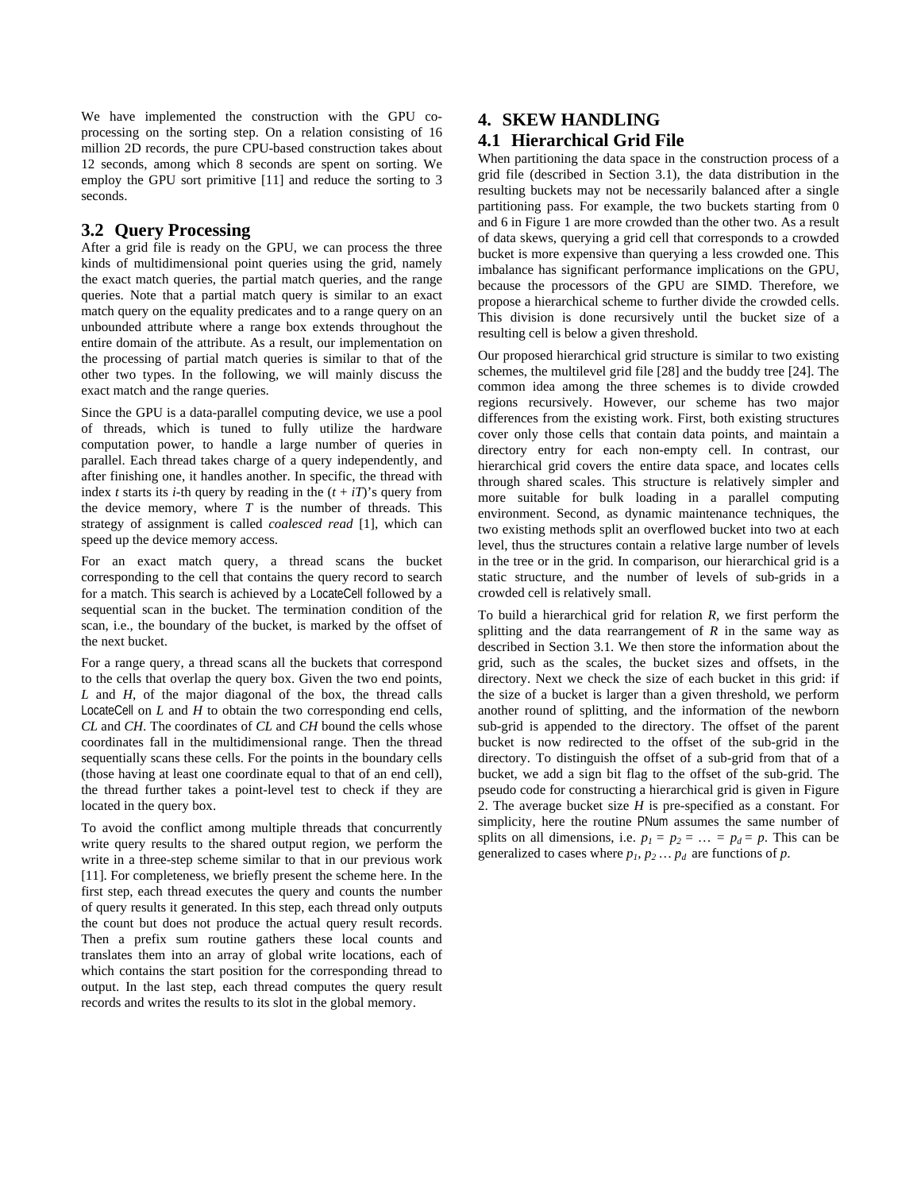We have implemented the construction with the GPU coprocessing on the sorting step. On a relation consisting of 16 million 2D records, the pure CPU-based construction takes about 12 seconds, among which 8 seconds are spent on sorting. We employ the GPU sort primitive [\[11\]](#page-6-19) and reduce the sorting to 3 seconds.

### **3.2 Query Processing**

After a grid file is ready on the GPU, we can process the three kinds of multidimensional point queries using the grid, namely the exact match queries, the partial match queries, and the range queries. Note that a partial match query is similar to an exact match query on the equality predicates and to a range query on an unbounded attribute where a range box extends throughout the entire domain of the attribute. As a result, our implementation on the processing of partial match queries is similar to that of the other two types. In the following, we will mainly discuss the exact match and the range queries.

Since the GPU is a data-parallel computing device, we use a pool of threads, which is tuned to fully utilize the hardware computation power, to handle a large number of queries in parallel. Each thread takes charge of a query independently, and after finishing one, it handles another. In specific, the thread with index *t* starts its *i*-th query by reading in the  $(t + iT)$ 's query from the device memory, where *T* is the number of threads. This strategy of assignment is called *coalesced read* [\[1\]](#page-5-5), which can speed up the device memory access.

For an exact match query, a thread scans the bucket corresponding to the cell that contains the query record to search for a match. This search is achieved by a LocateCell followed by a sequential scan in the bucket. The termination condition of the scan, i.e., the boundary of the bucket, is marked by the offset of the next bucket.

For a range query, a thread scans all the buckets that correspond to the cells that overlap the query box. Given the two end points, *L* and *H*, of the major diagonal of the box, the thread calls LocateCell on *L* and *H* to obtain the two corresponding end cells, *CL* and *CH*. The coordinates of *CL* and *CH* bound the cells whose coordinates fall in the multidimensional range. Then the thread sequentially scans these cells. For the points in the boundary cells (those having at least one coordinate equal to that of an end cell), the thread further takes a point-level test to check if they are located in the query box.

To avoid the conflict among multiple threads that concurrently write query results to the shared output region, we perform the write in a three-step scheme similar to that in our previous work [\[11\].](#page-6-19) For completeness, we briefly present the scheme here. In the first step, each thread executes the query and counts the number of query results it generated. In this step, each thread only outputs the count but does not produce the actual query result records. Then a prefix sum routine gathers these local counts and translates them into an array of global write locations, each of which contains the start position for the corresponding thread to output. In the last step, each thread computes the query result records and writes the results to its slot in the global memory.

# **4. SKEW HANDLING**

# **4.1 Hierarchical Grid File**

When partitioning the data space in the construction process of a grid file (described in Section 3.1), the data distribution in the resulting buckets may not be necessarily balanced after a single partitioning pass. For example, the two buckets starting from 0 and 6 in [Figure 1](#page-1-0) are more crowded than the other two. As a result of data skews, querying a grid cell that corresponds to a crowded bucket is more expensive than querying a less crowded one. This imbalance has significant performance implications on the GPU, because the processors of the GPU are SIMD. Therefore, we propose a hierarchical scheme to further divide the crowded cells. This division is done recursively until the bucket size of a resulting cell is below a given threshold.

Our proposed hierarchical grid structure is similar to two existing schemes, the multilevel grid file [\[28\]](#page-6-10) and the buddy tree [\[24\]](#page-6-4). The common idea among the three schemes is to divide crowded regions recursively. However, our scheme has two major differences from the existing work. First, both existing structures cover only those cells that contain data points, and maintain a directory entry for each non-empty cell. In contrast, our hierarchical grid covers the entire data space, and locates cells through shared scales. This structure is relatively simpler and more suitable for bulk loading in a parallel computing environment. Second, as dynamic maintenance techniques, the two existing methods split an overflowed bucket into two at each level, thus the structures contain a relative large number of levels in the tree or in the grid. In comparison, our hierarchical grid is a static structure, and the number of levels of sub-grids in a crowded cell is relatively small.

To build a hierarchical grid for relation *R*, we first perform the splitting and the data rearrangement of *R* in the same way as described in Section 3.1. We then store the information about the grid, such as the scales, the bucket sizes and offsets, in the directory. Next we check the size of each bucket in this grid: if the size of a bucket is larger than a given threshold, we perform another round of splitting, and the information of the newborn sub-grid is appended to the directory. The offset of the parent bucket is now redirected to the offset of the sub-grid in the directory. To distinguish the offset of a sub-grid from that of a bucket, we add a sign bit flag to the offset of the sub-grid. The pseudo code for constructing a hierarchical grid is given in [Figure](#page-3-0)  [2](#page-3-0). The average bucket size *H* is pre-specified as a constant. For simplicity, here the routine PNum assumes the same number of splits on all dimensions, i.e.  $p_1 = p_2 = ... = p_d = p$ . This can be generalized to cases where  $p_1$ ,  $p_2$  ...  $p_d$  are functions of  $p$ .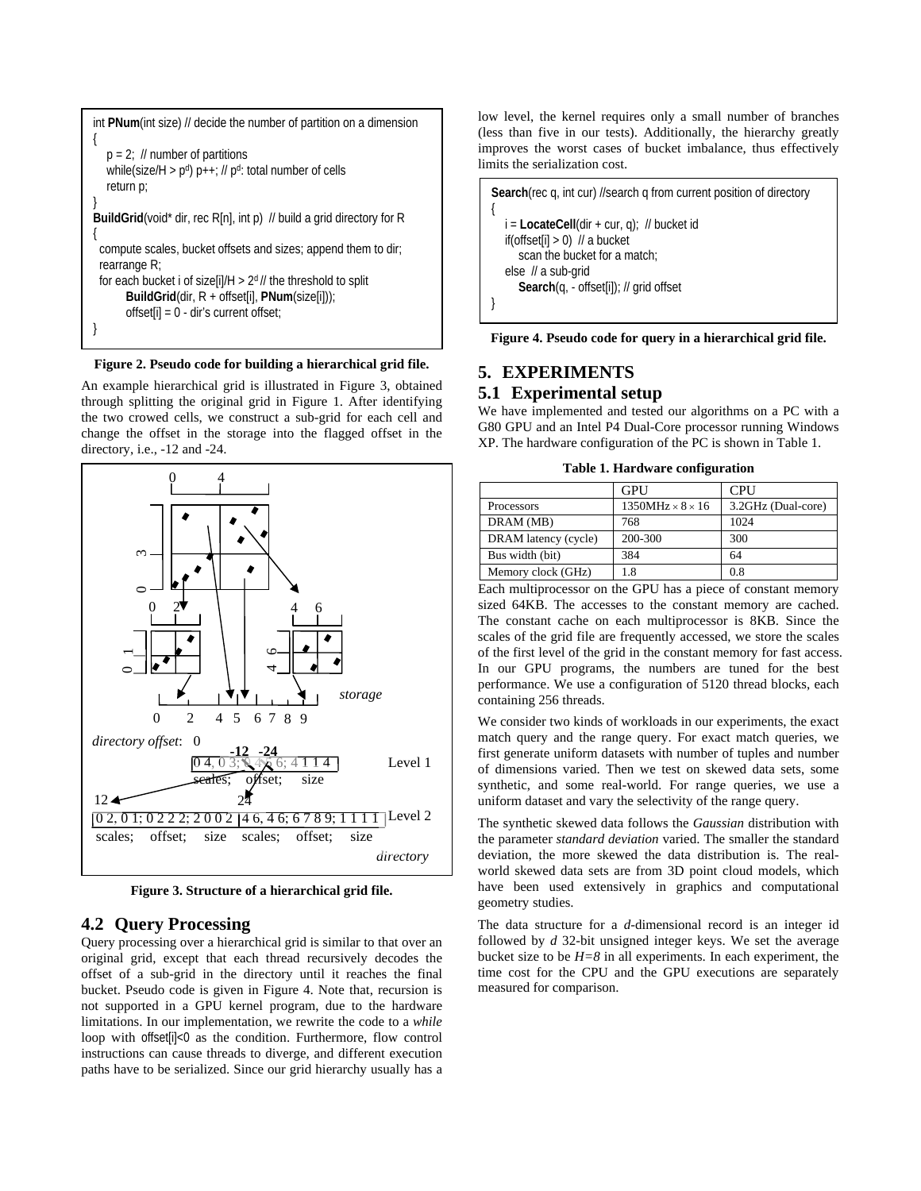```
int PNum(int size) // decide the number of partition on a dimension 
{ 
   p = 2; // number of partitions
   while(size/H > p<sup>d</sup>) p++; // p<sup>d</sup>: total number of cells
   return p; 
} 
BuildGrid(void* dir, rec R[n], int p) // build a grid directory for R 
{ 
  compute scales, bucket offsets and sizes; append them to dir; 
  rearrange R; 
 for each bucket i of size[i]/H > 2<sup>d</sup> // the threshold to split
        BuildGrid(dir, R + offset[i], PNum(size[i])); 
        offset[i] = 0 - dir's current offset; 
}
```
**Figure 2. Pseudo code for building a hierarchical grid file.** 

<span id="page-3-2"></span><span id="page-3-0"></span>An example hierarchical grid is illustrated in [Figure 3](#page-3-1), obtained through splitting the original grid in [Figure 1.](#page-1-0) After identifying the two crowed cells, we construct a sub-grid for each cell and change the offset in the storage into the flagged offset in the directory, i.e., -12 and -24.

<span id="page-3-3"></span>

**Figure 3. Structure of a hierarchical grid file.** 

### <span id="page-3-1"></span>**4.2 Query Processing**

Query processing over a hierarchical grid is similar to that over an original grid, except that each thread recursively decodes the offset of a sub-grid in the directory until it reaches the final bucket. Pseudo code is given in [Figure 4](#page-3-2). Note that, recursion is not supported in a GPU kernel program, due to the hardware limitations. In our implementation, we rewrite the code to a *while* loop with offset[i]<0 as the condition. Furthermore, flow control instructions can cause threads to diverge, and different execution paths have to be serialized. Since our grid hierarchy usually has a

low level, the kernel requires only a small number of branches (less than five in our tests). Additionally, the hierarchy greatly improves the worst cases of bucket imbalance, thus effectively limits the serialization cost.

```
Search(rec q, int cur) //search q from current position of directory
{ 
  i = LocateCell(dir + cur, q); // bucket id 
   if(offset[i] > 0) // a bucket
      scan the bucket for a match; 
   else // a sub-grid 
      Search(q, - offset[i]); // grid offset 
}
```
**Figure 4. Pseudo code for query in a hierarchical grid file.** 

# **5. EXPERIMENTS**

### **5.1 Experimental setup**

We have implemented and tested our algorithms on a PC with a G80 GPU and an Intel P4 Dual-Core processor running Windows XP. The hardware configuration of the PC is shown in [Table 1.](#page-3-3)

|                      | <b>GPU</b>                   | <b>CPU</b>         |
|----------------------|------------------------------|--------------------|
| Processors           | $1350MHz \times 8 \times 16$ | 3.2GHz (Dual-core) |
| DRAM (MB)            | 768                          | 1024               |
| DRAM latency (cycle) | 200-300                      | 300                |
| Bus width (bit)      | 384                          | 64                 |
| Memory clock (GHz)   | 1.8                          | 0.8                |

**Table 1. Hardware configuration** 

Each multiprocessor on the GPU has a piece of constant memory sized 64KB. The accesses to the constant memory are cached. The constant cache on each multiprocessor is 8KB. Since the scales of the grid file are frequently accessed, we store the scales of the first level of the grid in the constant memory for fast access. In our GPU programs, the numbers are tuned for the best performance. We use a configuration of 5120 thread blocks, each containing 256 threads.

We consider two kinds of workloads in our experiments, the exact match query and the range query. For exact match queries, we first generate uniform datasets with number of tuples and number of dimensions varied. Then we test on skewed data sets, some synthetic, and some real-world. For range queries, we use a uniform dataset and vary the selectivity of the range query.

The synthetic skewed data follows the *Gaussian* distribution with the parameter *standard deviation* varied. The smaller the standard deviation, the more skewed the data distribution is. The realworld skewed data sets are from 3D point cloud models, which have been used extensively in graphics and computational geometry studies.

The data structure for a *d*-dimensional record is an integer id followed by *d* 32-bit unsigned integer keys. We set the average bucket size to be  $H = 8$  in all experiments. In each experiment, the time cost for the CPU and the GPU executions are separately measured for comparison.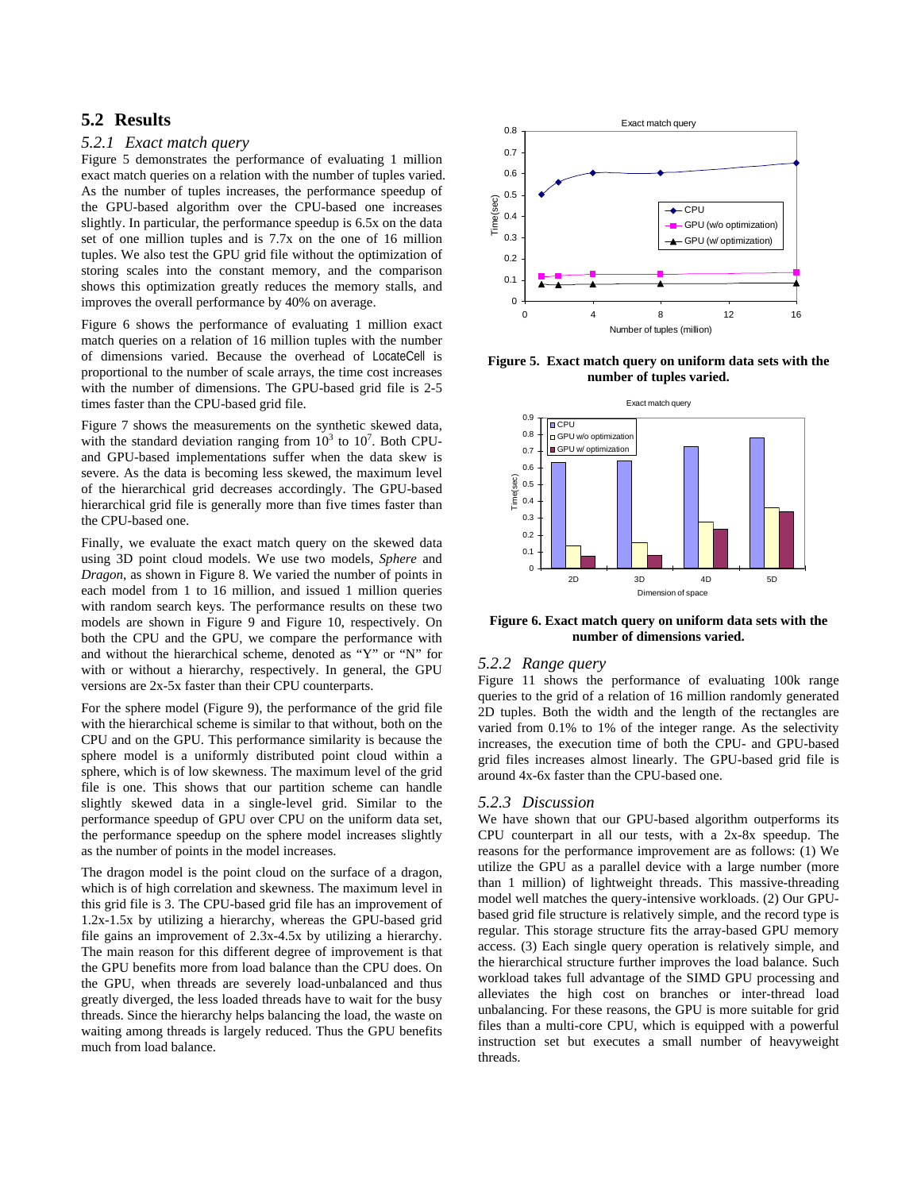# **5.2 Results**

#### *5.2.1 Exact match query*

[Figure 5](#page-4-0) demonstrates the performance of evaluating 1 million exact match queries on a relation with the number of tuples varied. As the number of tuples increases, the performance speedup of the GPU-based algorithm over the CPU-based one increases slightly. In particular, the performance speedup is 6.5x on the data set of one million tuples and is 7.7x on the one of 16 million tuples. We also test the GPU grid file without the optimization of storing scales into the constant memory, and the comparison shows this optimization greatly reduces the memory stalls, and improves the overall performance by 40% on average.

<span id="page-4-0"></span>[Figure 6](#page-4-1) shows the performance of evaluating 1 million exact match queries on a relation of 16 million tuples with the number of dimensions varied. Because the overhead of LocateCell is proportional to the number of scale arrays, the time cost increases with the number of dimensions. The GPU-based grid file is 2-5 times faster than the CPU-based grid file.

[Figure 7](#page-5-6) shows the measurements on the synthetic skewed data, with the standard deviation ranging from  $10^3$  to  $10^7$ . Both CPUand GPU-based implementations suffer when the data skew is severe. As the data is becoming less skewed, the maximum level of the hierarchical grid decreases accordingly. The GPU-based hierarchical grid file is generally more than five times faster than the CPU-based one.

<span id="page-4-1"></span>Finally, we evaluate the exact match query on the skewed data using 3D point cloud models. We use two models, *Sphere* and *Dragon*, as shown in [Figure 8](#page-5-7). We varied the number of points in each model from 1 to 16 million, and issued 1 million queries with random search keys. The performance results on these two models are shown in [Figure 9](#page-5-8) and [Figure 10,](#page-5-9) respectively. On both the CPU and the GPU, we compare the performance with and without the hierarchical scheme, denoted as "Y" or "N" for with or without a hierarchy, respectively. In general, the GPU versions are 2x-5x faster than their CPU counterparts.

For the sphere model [\(Figure 9](#page-5-8)), the performance of the grid file with the hierarchical scheme is similar to that without, both on the CPU and on the GPU. This performance similarity is because the sphere model is a uniformly distributed point cloud within a sphere, which is of low skewness. The maximum level of the grid file is one. This shows that our partition scheme can handle slightly skewed data in a single-level grid. Similar to the performance speedup of GPU over CPU on the uniform data set, the performance speedup on the sphere model increases slightly as the number of points in the model increases.

The dragon model is the point cloud on the surface of a dragon, which is of high correlation and skewness. The maximum level in this grid file is 3. The CPU-based grid file has an improvement of 1.2x-1.5x by utilizing a hierarchy, whereas the GPU-based grid file gains an improvement of 2.3x-4.5x by utilizing a hierarchy. The main reason for this different degree of improvement is that the GPU benefits more from load balance than the CPU does. On the GPU, when threads are severely load-unbalanced and thus greatly diverged, the less loaded threads have to wait for the busy threads. Since the hierarchy helps balancing the load, the waste on waiting among threads is largely reduced. Thus the GPU benefits much from load balance.



**Figure 5. Exact match query on uniform data sets with the number of tuples varied.** 



**Figure 6. Exact match query on uniform data sets with the number of dimensions varied.** 

#### *5.2.2 Range query*

[Figure 11](#page-5-10) shows the performance of evaluating 100k range queries to the grid of a relation of 16 million randomly generated 2D tuples. Both the width and the length of the rectangles are varied from 0.1% to 1% of the integer range. As the selectivity increases, the execution time of both the CPU- and GPU-based grid files increases almost linearly. The GPU-based grid file is around 4x-6x faster than the CPU-based one.

#### *5.2.3 Discussion*

We have shown that our GPU-based algorithm outperforms its CPU counterpart in all our tests, with a 2x-8x speedup. The reasons for the performance improvement are as follows: (1) We utilize the GPU as a parallel device with a large number (more than 1 million) of lightweight threads. This massive-threading model well matches the query-intensive workloads. (2) Our GPUbased grid file structure is relatively simple, and the record type is regular. This storage structure fits the array-based GPU memory access. (3) Each single query operation is relatively simple, and the hierarchical structure further improves the load balance. Such workload takes full advantage of the SIMD GPU processing and alleviates the high cost on branches or inter-thread load unbalancing. For these reasons, the GPU is more suitable for grid files than a multi-core CPU, which is equipped with a powerful instruction set but executes a small number of heavyweight threads.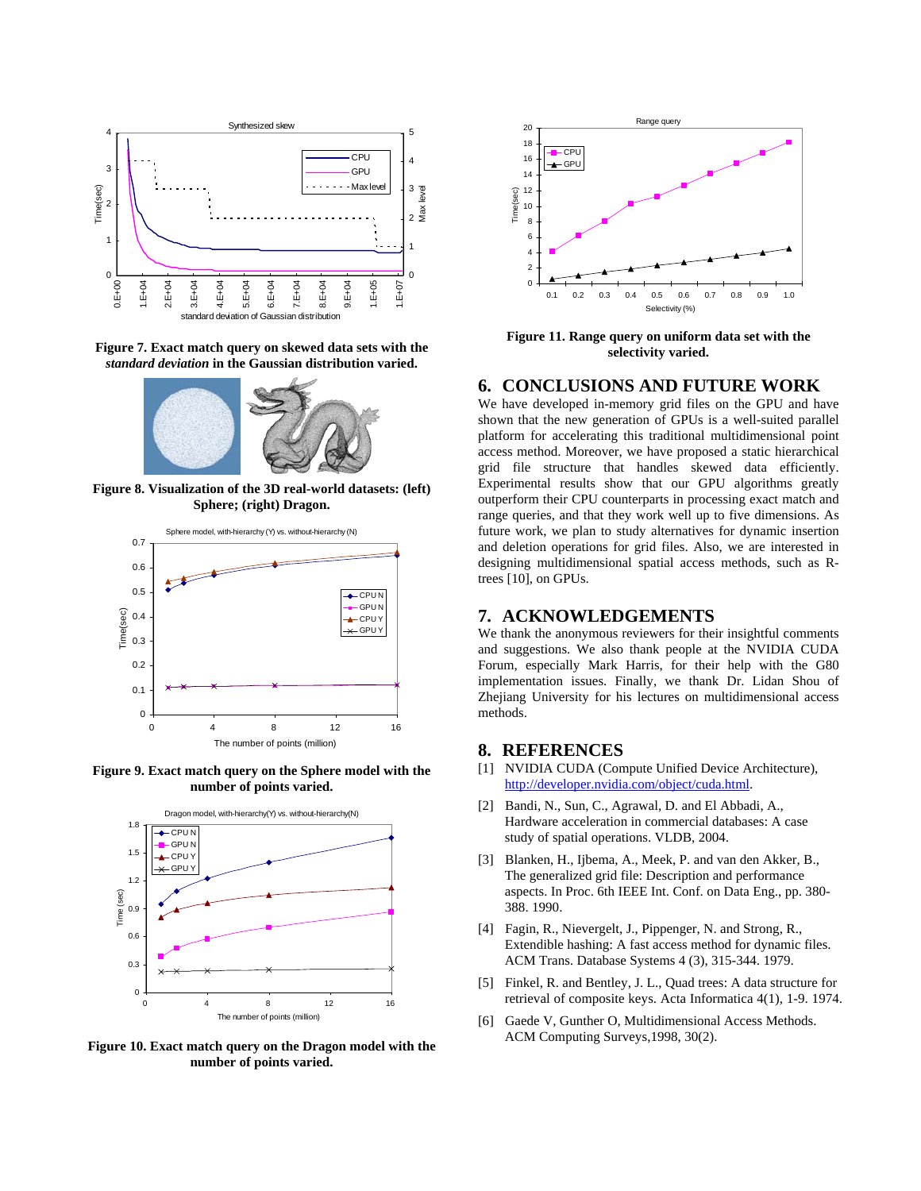

<span id="page-5-10"></span><span id="page-5-6"></span>**Figure 7. Exact match query on skewed data sets with the**  *standard deviation* **in the Gaussian distribution varied.** 



<span id="page-5-7"></span>**Figure 8. Visualization of the 3D real-world datasets: (left) Sphere; (right) Dragon.** 



<span id="page-5-8"></span><span id="page-5-5"></span><span id="page-5-4"></span>**Figure 9. Exact match query on the Sphere model with the number of points varied.** 

<span id="page-5-3"></span>

<span id="page-5-9"></span><span id="page-5-2"></span><span id="page-5-1"></span><span id="page-5-0"></span>**Figure 10. Exact match query on the Dragon model with the number of points varied.** 



**Figure 11. Range query on uniform data set with the selectivity varied.** 

#### **6. CONCLUSIONS AND FUTURE WORK**

We have developed in-memory grid files on the GPU and have shown that the new generation of GPUs is a well-suited parallel platform for accelerating this traditional multidimensional point access method. Moreover, we have proposed a static hierarchical grid file structure that handles skewed data efficiently. Experimental results show that our GPU algorithms greatly outperform their CPU counterparts in processing exact match and range queries, and that they work well up to five dimensions. As future work, we plan to study alternatives for dynamic insertion and deletion operations for grid files. Also, we are interested in designing multidimensional spatial access methods, such as Rtrees [10], on GPUs.

### **7. ACKNOWLEDGEMENTS**

We thank the anonymous reviewers for their insightful comments and suggestions. We also thank people at the NVIDIA CUDA Forum, especially Mark Harris, for their help with the G80 implementation issues. Finally, we thank Dr. Lidan Shou of Zhejiang University for his lectures on multidimensional access methods.

### **8. REFERENCES**

- [1] NVIDIA CUDA (Compute Unified Device Architecture), [http://developer.nvidia.com/object/cuda.html.](http://developer.nvidia.com/object/cuda.html)
- [2] Bandi, N., Sun, C., Agrawal, D. and El Abbadi, A., Hardware acceleration in commercial databases: A case study of spatial operations. VLDB, 2004.
- [3] Blanken, H., Ijbema, A., Meek, P. and van den Akker, B., The generalized grid file: Description and performance aspects. In Proc. 6th IEEE Int. Conf. on Data Eng., pp. 380- 388. 1990.
- [4] Fagin, R., Nievergelt, J., Pippenger, N. and Strong, R., Extendible hashing: A fast access method for dynamic files. ACM Trans. Database Systems 4 (3), 315-344. 1979.
- [5] Finkel, R. and Bentley, J. L., Quad trees: A data structure for retrieval of composite keys. Acta Informatica 4(1), 1-9. 1974.
- [6] Gaede V, Gunther O, Multidimensional Access Methods. ACM Computing Surveys,1998, 30(2).